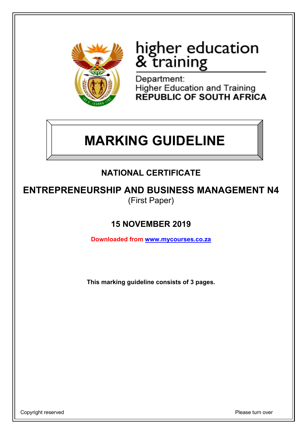

# higher education<br>& training

Department: **Higher Education and Training REPUBLIC OF SOUTH AFRICA** 

# **MARKING GUIDELINE**

# **NATIONAL CERTIFICATE**

**ENTREPRENEURSHIP AND BUSINESS MANAGEMENT N4** (First Paper)

# **15 NOVEMBER 2019**

**Downloaded from www.mycourses.co.za**

**This marking guideline consists of 3 pages.**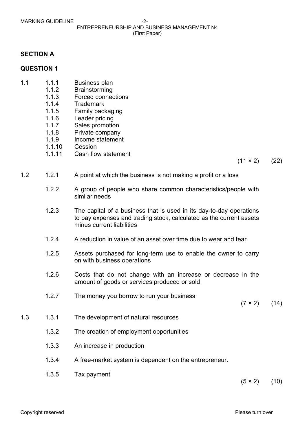### ENTREPRENEURSHIP AND BUSINESS MANAGEMENT N4 (First Paper)

## **SECTION A**

## **QUESTION 1**

- 1.1 1.1.1 Business plan
	- 1.1.2 Brainstorming
	- 1.1.3 Forced connections
	- 1.1.4 Trademark
	- 1.1.5 Family packaging
	- 1.1.6 Leader pricing
	- 1.1.7 Sales promotion
	- 1.1.8 Private company
	- 1.1.9 Income statement
	- 1.1.10 Cession
	- 1.1.11 Cash flow statement

 $(11 \times 2)$  (22)

- 1.2 1.2.1 A point at which the business is not making a profit or a loss
	- 1.2.2 A group of people who share common characteristics/people with similar needs
	- 1.2.3 The capital of a business that is used in its day-to-day operations to pay expenses and trading stock, calculated as the current assets minus current liabilities
	- 1.2.4 A reduction in value of an asset over time due to wear and tear
	- 1.2.5 Assets purchased for long-term use to enable the owner to carry on with business operations
	- 1.2.6 Costs that do not change with an increase or decrease in the amount of goods or services produced or sold
	- 1.2.7 The money you borrow to run your business

 $(7 \times 2)$  (14)

- 1.3 1.3.1 The development of natural resources
	- 1.3.2 The creation of employment opportunities
	- 1.3.3 An increase in production
	- 1.3.4 A free-market system is dependent on the entrepreneur.
	- 1.3.5 Tax payment

 $(5 \times 2)$  (10)